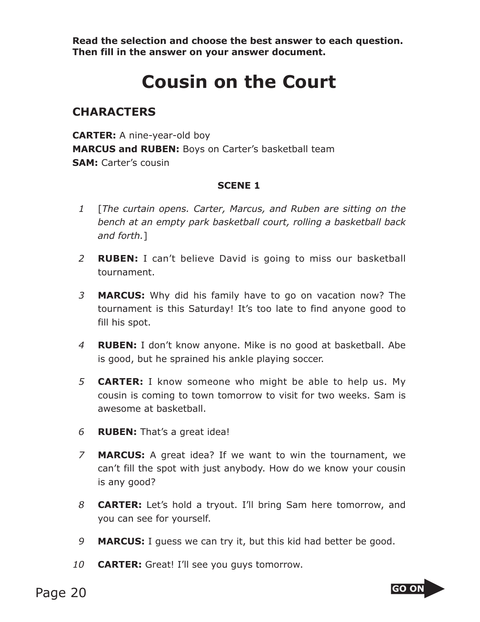**Read the selection and choose the best answer to each question. Then fill in the answer on your answer document.**

## **Cousin on the Court**

## **CHARACTERS**

**CARTER:** A nine-year-old boy **MARCUS and RUBEN:** Boys on Carter's basketball team **SAM:** Carter's cousin

## **SCENE 1**

- *1* [*The curtain opens. Carter, Marcus, and Ruben are sitting on the bench at an empty park basketball court, rolling a basketball back and forth.*]
- *2* **RUBEN:** I can't believe David is going to miss our basketball tournament.
- *3* **MARCUS:** Why did his family have to go on vacation now? The tournament is this Saturday! It's too late to find anyone good to fill his spot.
- *4* **RUBEN:** I don't know anyone. Mike is no good at basketball. Abe is good, but he sprained his ankle playing soccer.
- *5* **CARTER:** I know someone who might be able to help us. My cousin is coming to town tomorrow to visit for two weeks. Sam is awesome at basketball.
- *6* **RUBEN:** That's a great idea!
- *7* **MARCUS:** A great idea? If we want to win the tournament, we can't fill the spot with just anybody. How do we know your cousin is any good?
- *8* **CARTER:** Let's hold a tryout. I'll bring Sam here tomorrow, and you can see for yourself.
- *9* **MARCUS:** I guess we can try it, but this kid had better be good.
- *10* **CARTER:** Great! I'll see you guys tomorrow.

Page 20 and the set of the set of the set of the set of the set of the set of the set of the set of the set of the set of the set of the set of the set of the set of the set of the set of the set of the set of the set of t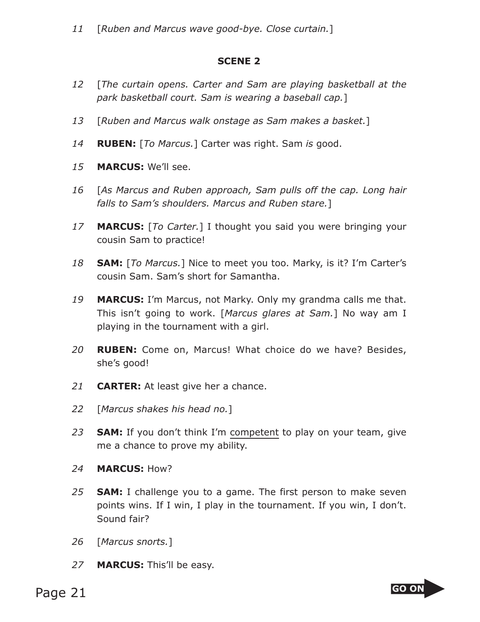## **SCENE 2**

- *12* [*The curtain opens. Carter and Sam are playing basketball at the park basketball court. Sam is wearing a baseball cap.*]
- *13* [*Ruben and Marcus walk onstage as Sam makes a basket.*]
- *14* **RUBEN:** [*To Marcus.*] Carter was right. Sam *is* good.
- *15* **MARCUS:** We'll see.
- *16* [*As Marcus and Ruben approach, Sam pulls off the cap. Long hair falls to Sam's shoulders. Marcus and Ruben stare.*]
- *17* **MARCUS:** [*To Carter.*] I thought you said you were bringing your cousin Sam to practice!
- *18* **SAM:** [*To Marcus.*] Nice to meet you too. Marky, is it? I'm Carter's cousin Sam. Sam's short for Samantha.
- *19* **MARCUS:** I'm Marcus, not Marky. Only my grandma calls me that. This isn't going to work. [*Marcus glares at Sam.*] No way am I playing in the tournament with a girl.
- *20* **RUBEN:** Come on, Marcus! What choice do we have? Besides, she's good!
- *21* **CARTER:** At least give her a chance.
- *22* [*Marcus shakes his head no.*]
- *23* **SAM:** If you don't think I'm competent to play on your team, give me a chance to prove my ability.
- *24* **MARCUS:** How?
- *25* **SAM:** I challenge you to a game. The first person to make seven points wins. If I win, I play in the tournament. If you win, I don't. Sound fair?
- *26* [*Marcus snorts.*]
- *27* **MARCUS:** This'll be easy.

Page 21 and the state of the state of the state of the state of the state of the state of the state of the state of the state of the state of the state of the state of the state of the state of the state of the state of th

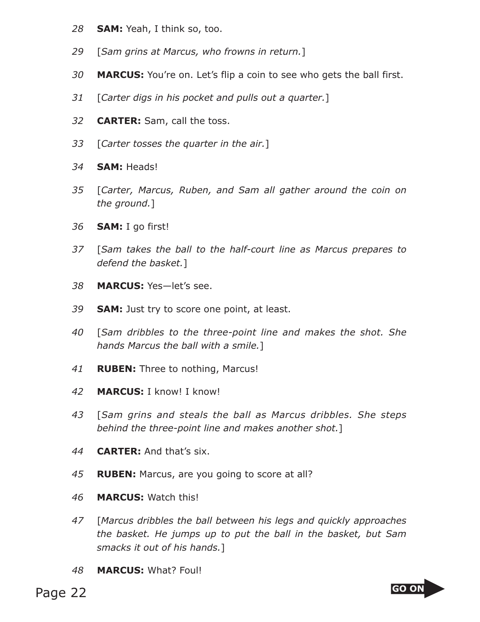- **SAM:** Yeah, I think so, too.
- [*Sam grins at Marcus, who frowns in return.*]
- **MARCUS:** You're on. Let's flip a coin to see who gets the ball first.
- [*Carter digs in his pocket and pulls out a quarter.*]
- **CARTER:** Sam, call the toss.
- [*Carter tosses the quarter in the air.*]
- **SAM:** Heads!
- [*Carter, Marcus, Ruben, and Sam all gather around the coin on the ground.*]
- **SAM:** I go first!
- [*Sam takes the ball to the half-court line as Marcus prepares to defend the basket.*]
- **MARCUS:** Yes—let's see.
- **SAM:** Just try to score one point, at least.
- [*Sam dribbles to the three-point line and makes the shot. She hands Marcus the ball with a smile.*]
- **RUBEN:** Three to nothing, Marcus!
- **MARCUS:** I know! I know!
- [*Sam grins and steals the ball as Marcus dribbles. She steps behind the three-point line and makes another shot.*]
- **CARTER:** And that's six.
- **RUBEN:** Marcus, are you going to score at all?
- **MARCUS:** Watch this!
- [*Marcus dribbles the ball between his legs and quickly approaches the basket. He jumps up to put the ball in the basket, but Sam smacks it out of his hands.*]
- **MARCUS:** What? Foul!

Page 22 **GO ON** 

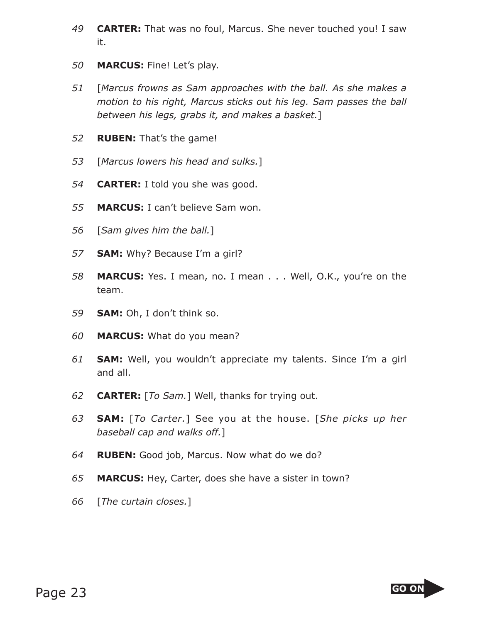- **CARTER:** That was no foul, Marcus. She never touched you! I saw it.
- **MARCUS:** Fine! Let's play.
- [*Marcus frowns as Sam approaches with the ball. As she makes a motion to his right, Marcus sticks out his leg. Sam passes the ball between his legs, grabs it, and makes a basket.*]
- **RUBEN:** That's the game!
- [*Marcus lowers his head and sulks.*]
- **CARTER:** I told you she was good.
- **MARCUS:** I can't believe Sam won.
- [*Sam gives him the ball.*]
- **SAM:** Why? Because I'm a girl?
- **MARCUS:** Yes. I mean, no. I mean . . . Well, O.K., you're on the team.
- **SAM:** Oh, I don't think so.
- **MARCUS:** What do you mean?
- **SAM:** Well, you wouldn't appreciate my talents. Since I'm a girl and all.
- **CARTER:** [*To Sam.*] Well, thanks for trying out.
- **SAM:** [*To Carter.*] See you at the house. [*She picks up her baseball cap and walks off.*]
- **RUBEN:** Good job, Marcus. Now what do we do?
- **MARCUS:** Hey, Carter, does she have a sister in town?
- [*The curtain closes.*]

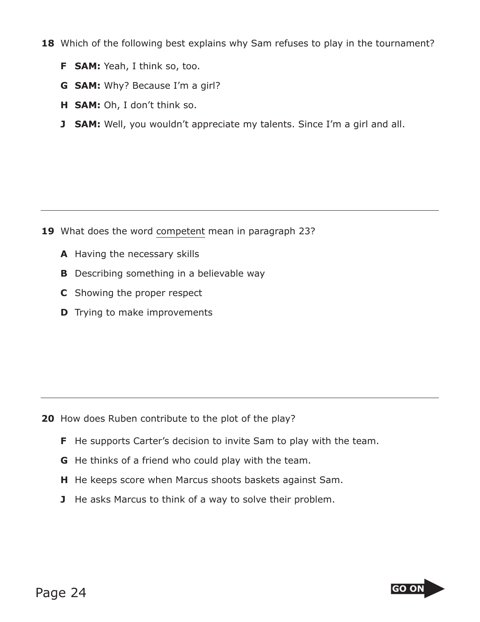- **18** Which of the following best explains why Sam refuses to play in the tournament?
	- **F SAM:** Yeah, I think so, too.
	- **G SAM:** Why? Because I'm a girl?
	- **H SAM:** Oh, I don't think so.
	- **J SAM:** Well, you wouldn't appreciate my talents. Since I'm a girl and all.

- **19** What does the word competent mean in paragraph 23?
	- **A** Having the necessary skills
	- **B** Describing something in a believable way
	- **C** Showing the proper respect
	- **D** Trying to make improvements

- **20** How does Ruben contribute to the plot of the play?
	- **F** He supports Carter's decision to invite Sam to play with the team.
	- **G** He thinks of a friend who could play with the team.
	- **H** He keeps score when Marcus shoots baskets against Sam.
	- **J** He asks Marcus to think of a way to solve their problem.

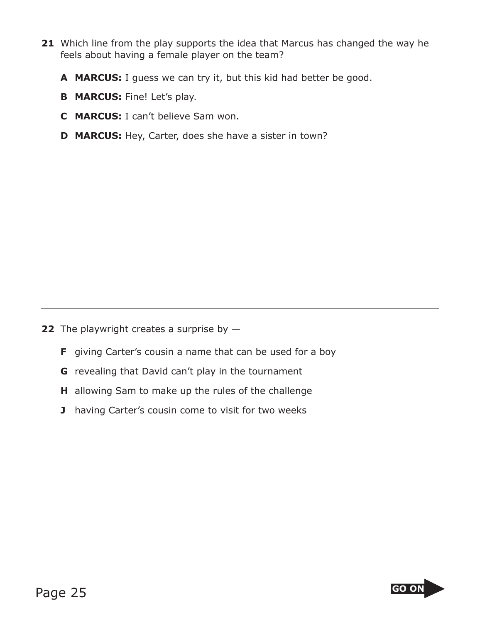- **21** Which line from the play supports the idea that Marcus has changed the way he feels about having a female player on the team?
	- **A MARCUS:** I guess we can try it, but this kid had better be good.
	- **B MARCUS:** Fine! Let's play.
	- **C MARCUS:** I can't believe Sam won.
	- **D MARCUS:** Hey, Carter, does she have a sister in town?

**22** The playwright creates a surprise by  $-$ 

- **F** giving Carter's cousin a name that can be used for a boy
- **G** revealing that David can't play in the tournament
- **H** allowing Sam to make up the rules of the challenge
- **J** having Carter's cousin come to visit for two weeks

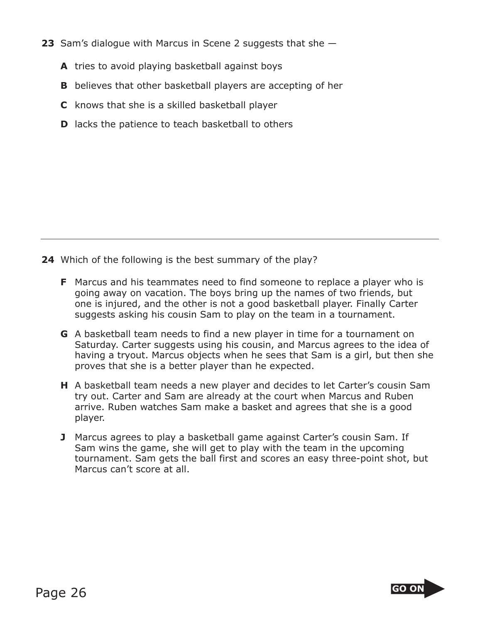- **23** Sam's dialogue with Marcus in Scene 2 suggests that she
	- **A** tries to avoid playing basketball against boys
	- **B** believes that other basketball players are accepting of her
	- **C** knows that she is a skilled basketball player
	- **D** lacks the patience to teach basketball to others

**24** Which of the following is the best summary of the play?

- **F** Marcus and his teammates need to find someone to replace a player who is going away on vacation. The boys bring up the names of two friends, but one is injured, and the other is not a good basketball player. Finally Carter suggests asking his cousin Sam to play on the team in a tournament.
- **G** A basketball team needs to find a new player in time for a tournament on Saturday. Carter suggests using his cousin, and Marcus agrees to the idea of having a tryout. Marcus objects when he sees that Sam is a girl, but then she proves that she is a better player than he expected.
- **H** A basketball team needs a new player and decides to let Carter's cousin Sam try out. Carter and Sam are already at the court when Marcus and Ruben arrive. Ruben watches Sam make a basket and agrees that she is a good player.
- **J** Marcus agrees to play a basketball game against Carter's cousin Sam. If Sam wins the game, she will get to play with the team in the upcoming tournament. Sam gets the ball first and scores an easy three-point shot, but Marcus can't score at all.